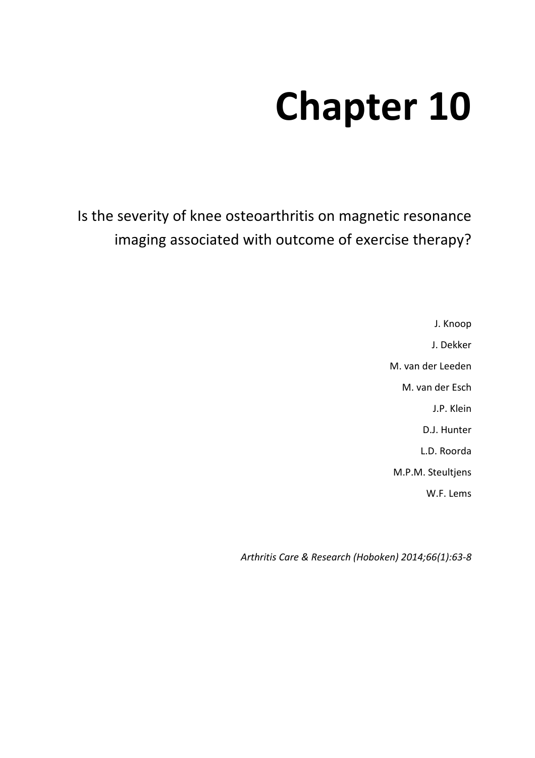# **Chapter 10**

Is the severity of knee osteoarthritis on magnetic resonance imaging associated with outcome of exercise therapy?

> J. Knoop J. Dekker M. van der Leeden M. van der Esch J.P. Klein D.J. Hunter L.D. Roorda M.P.M. Steultjens W.F. Lems

*Arthritis Care & Research (Hoboken) 2014;66(1):63-8*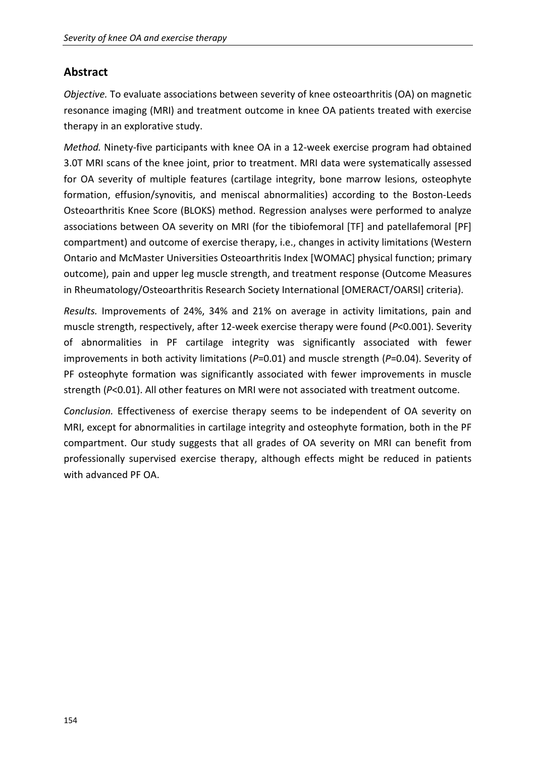## **Abstract**

*Objective.* To evaluate associations between severity of knee osteoarthritis (OA) on magnetic resonance imaging (MRI) and treatment outcome in knee OA patients treated with exercise therapy in an explorative study.

*Method.* Ninety-five participants with knee OA in a 12-week exercise program had obtained 3.0T MRI scans of the knee joint, prior to treatment. MRI data were systematically assessed for OA severity of multiple features (cartilage integrity, bone marrow lesions, osteophyte formation, effusion/synovitis, and meniscal abnormalities) according to the Boston-Leeds Osteoarthritis Knee Score (BLOKS) method. Regression analyses were performed to analyze associations between OA severity on MRI (for the tibiofemoral [TF] and patellafemoral [PF] compartment) and outcome of exercise therapy, i.e., changes in activity limitations (Western Ontario and McMaster Universities Osteoarthritis Index [WOMAC] physical function; primary outcome), pain and upper leg muscle strength, and treatment response (Outcome Measures in Rheumatology/Osteoarthritis Research Society International [OMERACT/OARSI] criteria).

*Results.* Improvements of 24%, 34% and 21% on average in activity limitations, pain and muscle strength, respectively, after 12-week exercise therapy were found (*P*<0.001). Severity of abnormalities in PF cartilage integrity was significantly associated with fewer improvements in both activity limitations (*P*=0.01) and muscle strength (*P*=0.04). Severity of PF osteophyte formation was significantly associated with fewer improvements in muscle strength (*P*<0.01). All other features on MRI were not associated with treatment outcome.

*Conclusion.* Effectiveness of exercise therapy seems to be independent of OA severity on MRI, except for abnormalities in cartilage integrity and osteophyte formation, both in the PF compartment. Our study suggests that all grades of OA severity on MRI can benefit from professionally supervised exercise therapy, although effects might be reduced in patients with advanced PF OA.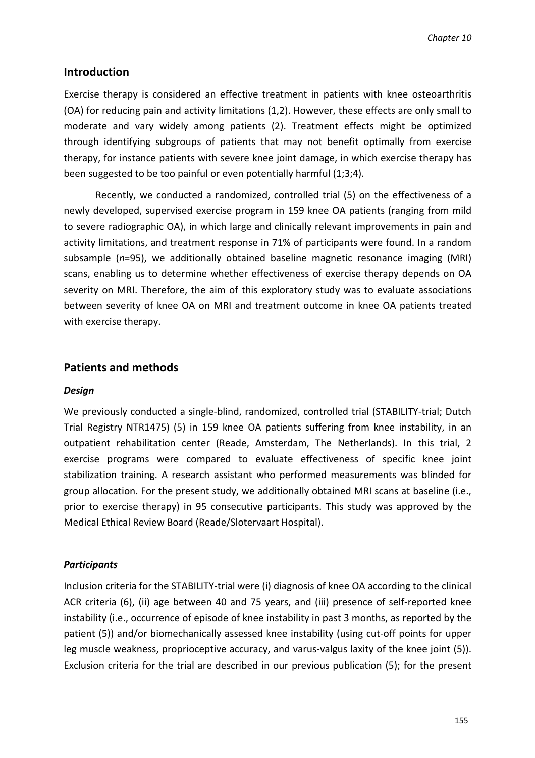## **Introduction**

Exercise therapy is considered an effective treatment in patients with knee osteoarthritis (OA) for reducing pain and activity limitations (1,2). However, these effects are only small to moderate and vary widely among patients (2). Treatment effects might be optimized through identifying subgroups of patients that may not benefit optimally from exercise therapy, for instance patients with severe knee joint damage, in which exercise therapy has been suggested to be too painful or even potentially harmful (1;3;4).

 Recently, we conducted a randomized, controlled trial (5) on the effectiveness of a newly developed, supervised exercise program in 159 knee OA patients (ranging from mild to severe radiographic OA), in which large and clinically relevant improvements in pain and activity limitations, and treatment response in 71% of participants were found. In a random subsample (*n*=95), we additionally obtained baseline magnetic resonance imaging (MRI) scans, enabling us to determine whether effectiveness of exercise therapy depends on OA severity on MRI. Therefore, the aim of this exploratory study was to evaluate associations between severity of knee OA on MRI and treatment outcome in knee OA patients treated with exercise therapy.

## **Patients and methods**

#### *Design*

We previously conducted a single-blind, randomized, controlled trial (STABILITY-trial; Dutch Trial Registry NTR1475) (5) in 159 knee OA patients suffering from knee instability, in an outpatient rehabilitation center (Reade, Amsterdam, The Netherlands). In this trial, 2 exercise programs were compared to evaluate effectiveness of specific knee joint stabilization training. A research assistant who performed measurements was blinded for group allocation. For the present study, we additionally obtained MRI scans at baseline (i.e., prior to exercise therapy) in 95 consecutive participants. This study was approved by the Medical Ethical Review Board (Reade/Slotervaart Hospital).

#### *Participants*

Inclusion criteria for the STABILITY-trial were (i) diagnosis of knee OA according to the clinical ACR criteria (6), (ii) age between 40 and 75 years, and (iii) presence of self-reported knee instability (i.e., occurrence of episode of knee instability in past 3 months, as reported by the patient (5)) and/or biomechanically assessed knee instability (using cut-off points for upper leg muscle weakness, proprioceptive accuracy, and varus-valgus laxity of the knee joint (5)). Exclusion criteria for the trial are described in our previous publication (5); for the present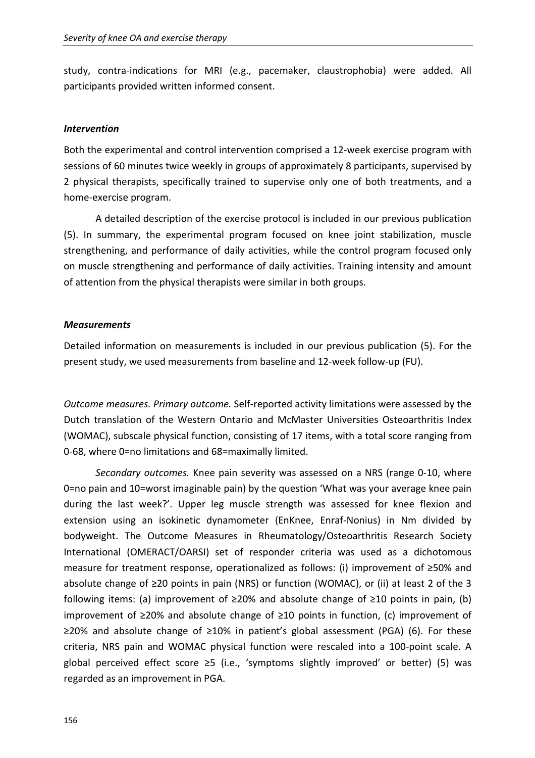study, contra-indications for MRI (e.g., pacemaker, claustrophobia) were added. All participants provided written informed consent.

#### *Intervention*

Both the experimental and control intervention comprised a 12-week exercise program with sessions of 60 minutes twice weekly in groups of approximately 8 participants, supervised by 2 physical therapists, specifically trained to supervise only one of both treatments, and a home-exercise program.

A detailed description of the exercise protocol is included in our previous publication (5). In summary, the experimental program focused on knee joint stabilization, muscle strengthening, and performance of daily activities, while the control program focused only on muscle strengthening and performance of daily activities. Training intensity and amount of attention from the physical therapists were similar in both groups.

## *Measurements*

Detailed information on measurements is included in our previous publication (5). For the present study, we used measurements from baseline and 12-week follow-up (FU).

*Outcome measures. Primary outcome.* Self-reported activity limitations were assessed by the Dutch translation of the Western Ontario and McMaster Universities Osteoarthritis Index (WOMAC), subscale physical function, consisting of 17 items, with a total score ranging from 0-68, where 0=no limitations and 68=maximally limited.

*Secondary outcomes.* Knee pain severity was assessed on a NRS (range 0-10, where 0=no pain and 10=worst imaginable pain) by the question 'What was your average knee pain during the last week?'. Upper leg muscle strength was assessed for knee flexion and extension using an isokinetic dynamometer (EnKnee, Enraf-Nonius) in Nm divided by bodyweight. The Outcome Measures in Rheumatology/Osteoarthritis Research Society International (OMERACT/OARSI) set of responder criteria was used as a dichotomous measure for treatment response, operationalized as follows: (i) improvement of ≥50% and absolute change of ≥20 points in pain (NRS) or function (WOMAC), or (ii) at least 2 of the 3 following items: (a) improvement of  $≥20%$  and absolute change of  $≥10$  points in pain, (b) improvement of ≥20% and absolute change of ≥10 points in function, (c) improvement of ≥20% and absolute change of ≥10% in patient's global assessment (PGA) (6). For these criteria, NRS pain and WOMAC physical function were rescaled into a 100-point scale. A global perceived effect score  $\geq$ 5 (i.e., 'symptoms slightly improved' or better) (5) was regarded as an improvement in PGA.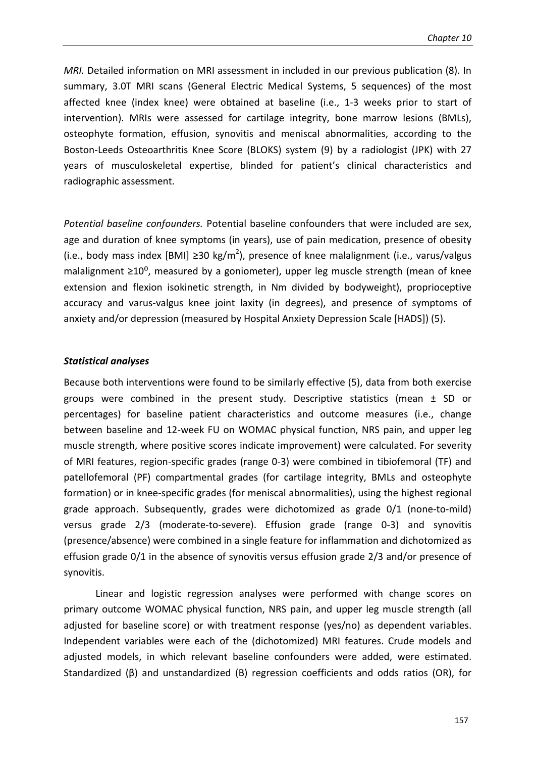*MRI.* Detailed information on MRI assessment in included in our previous publication (8). In summary, 3.0T MRI scans (General Electric Medical Systems, 5 sequences) of the most affected knee (index knee) were obtained at baseline (i.e., 1-3 weeks prior to start of intervention). MRIs were assessed for cartilage integrity, bone marrow lesions (BMLs), osteophyte formation, effusion, synovitis and meniscal abnormalities, according to the Boston-Leeds Osteoarthritis Knee Score (BLOKS) system (9) by a radiologist (JPK) with 27 years of musculoskeletal expertise, blinded for patient's clinical characteristics and radiographic assessment.

*Potential baseline confounders.* Potential baseline confounders that were included are sex, age and duration of knee symptoms (in years), use of pain medication, presence of obesity (i.e., body mass index [BMI] ≥30 kg/m<sup>2</sup>), presence of knee malalignment (i.e., varus/valgus malalignment ≥10<sup>°</sup>, measured by a goniometer), upper leg muscle strength (mean of knee extension and flexion isokinetic strength, in Nm divided by bodyweight), proprioceptive accuracy and varus-valgus knee joint laxity (in degrees), and presence of symptoms of anxiety and/or depression (measured by Hospital Anxiety Depression Scale [HADS]) (5).

#### *Statistical analyses*

Because both interventions were found to be similarly effective (5), data from both exercise groups were combined in the present study. Descriptive statistics (mean ± SD or percentages) for baseline patient characteristics and outcome measures (i.e., change between baseline and 12-week FU on WOMAC physical function, NRS pain, and upper leg muscle strength, where positive scores indicate improvement) were calculated. For severity of MRI features, region-specific grades (range 0-3) were combined in tibiofemoral (TF) and patellofemoral (PF) compartmental grades (for cartilage integrity, BMLs and osteophyte formation) or in knee-specific grades (for meniscal abnormalities), using the highest regional grade approach. Subsequently, grades were dichotomized as grade 0/1 (none-to-mild) versus grade 2/3 (moderate-to-severe). Effusion grade (range 0-3) and synovitis (presence/absence) were combined in a single feature for inflammation and dichotomized as effusion grade 0/1 in the absence of synovitis versus effusion grade 2/3 and/or presence of synovitis.

Linear and logistic regression analyses were performed with change scores on primary outcome WOMAC physical function, NRS pain, and upper leg muscle strength (all adjusted for baseline score) or with treatment response (yes/no) as dependent variables. Independent variables were each of the (dichotomized) MRI features. Crude models and adjusted models, in which relevant baseline confounders were added, were estimated. Standardized (β) and unstandardized (B) regression coefficients and odds ratios (OR), for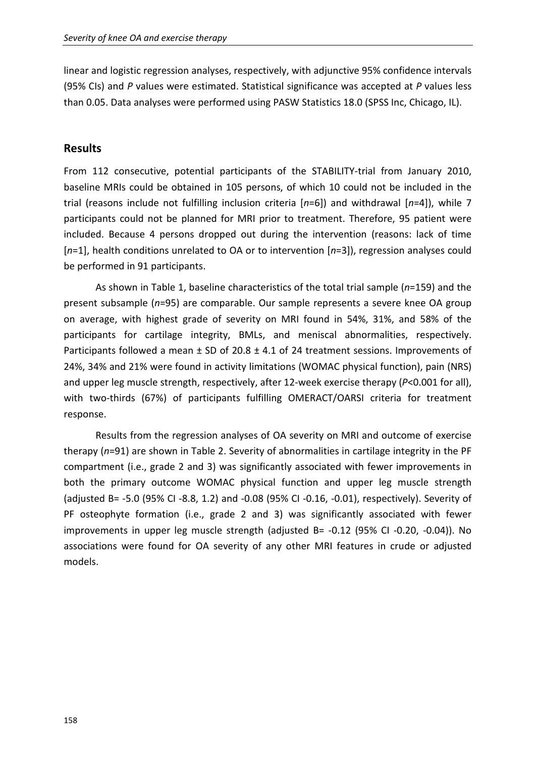linear and logistic regression analyses, respectively, with adjunctive 95% confidence intervals (95% CIs) and *P* values were estimated. Statistical significance was accepted at *P* values less than 0.05. Data analyses were performed using PASW Statistics 18.0 (SPSS Inc, Chicago, IL).

## **Results**

From 112 consecutive, potential participants of the STABILITY-trial from January 2010, baseline MRIs could be obtained in 105 persons, of which 10 could not be included in the trial (reasons include not fulfilling inclusion criteria [*n*=6]) and withdrawal [*n*=4]), while 7 participants could not be planned for MRI prior to treatment. Therefore, 95 patient were included. Because 4 persons dropped out during the intervention (reasons: lack of time [*n*=1], health conditions unrelated to OA or to intervention [*n*=3]), regression analyses could be performed in 91 participants.

 As shown in Table 1, baseline characteristics of the total trial sample (*n*=159) and the present subsample (*n*=95) are comparable. Our sample represents a severe knee OA group on average, with highest grade of severity on MRI found in 54%, 31%, and 58% of the participants for cartilage integrity, BMLs, and meniscal abnormalities, respectively. Participants followed a mean  $\pm$  SD of 20.8  $\pm$  4.1 of 24 treatment sessions. Improvements of 24%, 34% and 21% were found in activity limitations (WOMAC physical function), pain (NRS) and upper leg muscle strength, respectively, after 12-week exercise therapy (*P*<0.001 for all), with two-thirds (67%) of participants fulfilling OMERACT/OARSI criteria for treatment response.

Results from the regression analyses of OA severity on MRI and outcome of exercise therapy (*n*=91) are shown in Table 2. Severity of abnormalities in cartilage integrity in the PF compartment (i.e., grade 2 and 3) was significantly associated with fewer improvements in both the primary outcome WOMAC physical function and upper leg muscle strength (adjusted B= -5.0 (95% CI -8.8, 1.2) and -0.08 (95% CI -0.16, -0.01), respectively). Severity of PF osteophyte formation (i.e., grade 2 and 3) was significantly associated with fewer improvements in upper leg muscle strength (adjusted B= -0.12 (95% CI -0.20, -0.04)). No associations were found for OA severity of any other MRI features in crude or adjusted models.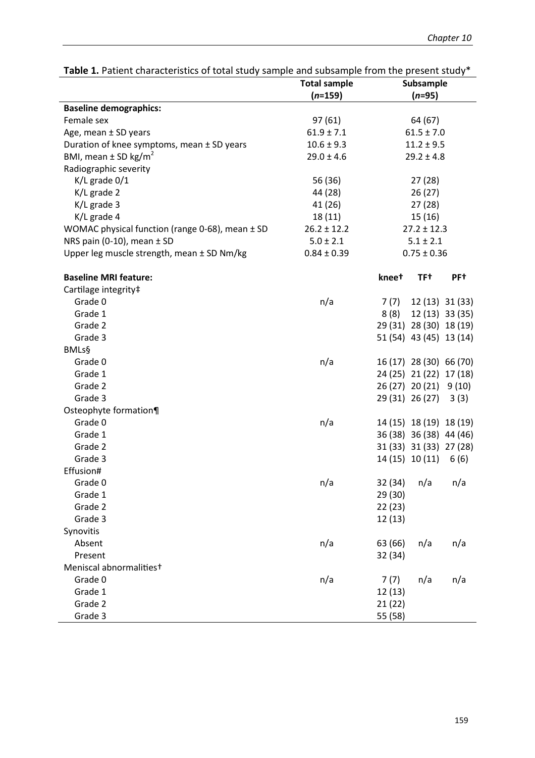|                                                 | able 1. Fation characteristics or total study sample and subsample monitore present study<br><b>Total sample</b><br>Subsample |                 |                         |                 |
|-------------------------------------------------|-------------------------------------------------------------------------------------------------------------------------------|-----------------|-------------------------|-----------------|
|                                                 | $(n=159)$                                                                                                                     | $(n=95)$        |                         |                 |
| <b>Baseline demographics:</b>                   |                                                                                                                               |                 |                         |                 |
| Female sex                                      | 97(61)                                                                                                                        |                 |                         |                 |
| Age, mean ± SD years                            | $61.9 \pm 7.1$                                                                                                                | 64 (67)         |                         |                 |
| Duration of knee symptoms, mean ± SD years      | $10.6 \pm 9.3$                                                                                                                | $61.5 \pm 7.0$  |                         |                 |
| BMI, mean $\pm$ SD kg/m <sup>2</sup>            | $29.0 \pm 4.6$                                                                                                                | $11.2 \pm 9.5$  |                         |                 |
| Radiographic severity                           |                                                                                                                               | $29.2 \pm 4.8$  |                         |                 |
|                                                 |                                                                                                                               |                 |                         |                 |
| $K/L$ grade $0/1$                               | 56 (36)                                                                                                                       | 27(28)          |                         |                 |
| K/L grade 2                                     | 44 (28)                                                                                                                       | 26(27)          |                         |                 |
| K/L grade 3                                     | 41 (26)                                                                                                                       | 27(28)          |                         |                 |
| K/L grade 4                                     | 18 (11)                                                                                                                       | 15 (16)         |                         |                 |
| WOMAC physical function (range 0-68), mean ± SD | $26.2 \pm 12.2$                                                                                                               | $27.2 \pm 12.3$ |                         |                 |
| NRS pain (0-10), mean $\pm$ SD                  | $5.0 \pm 2.1$                                                                                                                 | $5.1 \pm 2.1$   |                         |                 |
| Upper leg muscle strength, mean ± SD Nm/kg      | $0.84 \pm 0.39$                                                                                                               |                 | $0.75 \pm 0.36$         |                 |
| <b>Baseline MRI feature:</b>                    |                                                                                                                               | kneet           | TF <sup>+</sup>         | PF <sup>+</sup> |
| Cartilage integrity#                            |                                                                                                                               |                 |                         |                 |
| Grade 0                                         | n/a                                                                                                                           | 7 (7)           |                         | 12 (13) 31 (33) |
| Grade 1                                         |                                                                                                                               | 8(8)            |                         | 12 (13) 33 (35) |
| Grade 2                                         |                                                                                                                               |                 | 29 (31) 28 (30) 18 (19) |                 |
| Grade 3                                         |                                                                                                                               |                 | 51 (54) 43 (45) 13 (14) |                 |
| <b>BMLs§</b>                                    |                                                                                                                               |                 |                         |                 |
| Grade 0                                         | n/a                                                                                                                           |                 | 16 (17) 28 (30) 66 (70) |                 |
| Grade 1                                         |                                                                                                                               |                 | 24 (25) 21 (22) 17 (18) |                 |
| Grade 2                                         |                                                                                                                               |                 | 26 (27) 20 (21)         | 9(10)           |
| Grade 3                                         |                                                                                                                               |                 | 29 (31) 26 (27)         | 3(3)            |
| Osteophyte formation¶                           |                                                                                                                               |                 |                         |                 |
| Grade 0                                         | n/a                                                                                                                           |                 | 14 (15) 18 (19) 18 (19) |                 |
| Grade 1                                         |                                                                                                                               |                 | 36 (38) 36 (38) 44 (46) |                 |
| Grade 2                                         |                                                                                                                               |                 | 31 (33) 31 (33) 27 (28) |                 |
| Grade 3                                         |                                                                                                                               |                 | 14 (15) 10 (11)         | 6(6)            |
| Effusion#                                       |                                                                                                                               |                 |                         |                 |
| Grade 0                                         | n/a                                                                                                                           | 32 (34)         | n/a                     | n/a             |
| Grade 1                                         |                                                                                                                               | 29 (30)         |                         |                 |
| Grade 2                                         |                                                                                                                               | 22(23)          |                         |                 |
| Grade 3                                         |                                                                                                                               | 12(13)          |                         |                 |
| Synovitis                                       |                                                                                                                               |                 |                         |                 |
| Absent                                          | n/a                                                                                                                           | 63 (66)         | n/a                     | n/a             |
| Present                                         |                                                                                                                               | 32 (34)         |                         |                 |
| Meniscal abnormalities <sup>+</sup>             |                                                                                                                               |                 |                         |                 |
| Grade 0                                         | n/a                                                                                                                           | 7(7)            | n/a                     | n/a             |
| Grade 1                                         |                                                                                                                               | 12(13)          |                         |                 |
| Grade 2                                         |                                                                                                                               | 21 (22)         |                         |                 |
| Grade 3                                         |                                                                                                                               | 55 (58)         |                         |                 |

Table 1. Patient characteristics of total study sample and subsample from the present study<sup>\*</sup>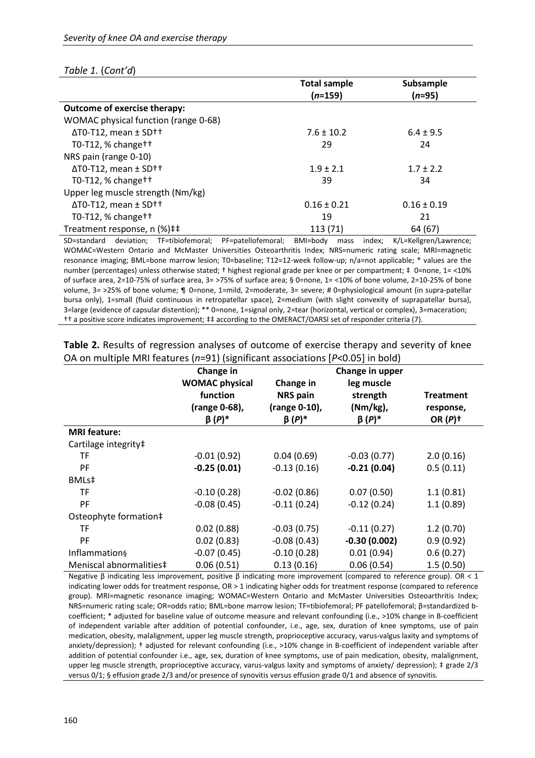#### *Table 1.* (*Cont'd*)

|                                               | <b>Total sample</b> | Subsample       |
|-----------------------------------------------|---------------------|-----------------|
|                                               | $(n=159)$           | $(n=95)$        |
| <b>Outcome of exercise therapy:</b>           |                     |                 |
| WOMAC physical function (range 0-68)          |                     |                 |
| $\Delta$ T0-T12, mean $\pm$ SD <sup>++</sup>  | $7.6 \pm 10.2$      | $6.4 \pm 9.5$   |
| T0-T12, % change $\dagger$ +                  | 29                  | 24              |
| NRS pain (range 0-10)                         |                     |                 |
| $\Delta$ T0-T12, mean $\pm$ SD <sup>++</sup>  | $1.9 \pm 2.1$       | $1.7 \pm 2.2$   |
| T0-T12, % change $\dagger$ +                  | 39                  | 34              |
| Upper leg muscle strength (Nm/kg)             |                     |                 |
| $\Delta$ T0-T12, mean $\pm$ SD <sup>++</sup>  | $0.16 \pm 0.21$     | $0.16 \pm 0.19$ |
| T0-T12, $%$ change <sup><math>+</math>+</sup> | 19                  | 21              |
| Treatment response, n (%)##                   | 113 (71)            | 64 (67)         |

SD=standard deviation; TF=tibiofemoral; PF=patellofemoral; BMI=body mass index; K/L=Kellgren/Lawrence; WOMAC=Western Ontario and McMaster Universities Osteoarthritis Index; NRS=numeric rating scale; MRI=magnetic resonance imaging; BML=bone marrow lesion; T0=baseline; T12=12-week follow-up; n/a=not applicable; \* values are the number (percentages) unless otherwise stated; † highest regional grade per knee or per compartment; ‡ 0=none, 1= <10% of surface area, 2=10-75% of surface area, 3= >75% of surface area; § 0=none, 1= <10% of bone volume, 2=10-25% of bone volume, 3= >25% of bone volume; ¶ 0=none, 1=mild, 2=moderate, 3= severe; # 0=physiological amount (in supra-patellar bursa only), 1=small (fluid continuous in retropatellar space), 2=medium (with slight convexity of suprapatellar bursa), 3=large (evidence of capsular distention); \*\* 0=none, 1=signal only, 2=tear (horizontal, vertical or complex), 3=maceration; †† a positive score indicates improvement; ‡‡ according to the OMERACT/OARSI set of responder criteria (7).

|                         | Change in             | Change in upper |                |                       |
|-------------------------|-----------------------|-----------------|----------------|-----------------------|
|                         | <b>WOMAC physical</b> | Change in       | leg muscle     |                       |
|                         | function              | <b>NRS</b> pain | strength       | <b>Treatment</b>      |
|                         | (range 0-68),         | (range 0-10),   | $(Nm/kg)$ ,    | response,             |
|                         | $\beta(P)^*$          | $\beta(P)^*$    | $\beta(P)^*$   | OR $(P)$ <sup>+</sup> |
| <b>MRI</b> feature:     |                       |                 |                |                       |
| Cartilage integrity#    |                       |                 |                |                       |
| TF                      | $-0.01(0.92)$         | 0.04(0.69)      | $-0.03(0.77)$  | 2.0(0.16)             |
| <b>PF</b>               | $-0.25(0.01)$         | $-0.13(0.16)$   | $-0.21(0.04)$  | 0.5(0.11)             |
| BMLs‡                   |                       |                 |                |                       |
| <b>TF</b>               | $-0.10(0.28)$         | $-0.02(0.86)$   | 0.07(0.50)     | 1.1(0.81)             |
| PF                      | $-0.08(0.45)$         | $-0.11(0.24)$   | $-0.12(0.24)$  | 1.1(0.89)             |
| Osteophyte formation#   |                       |                 |                |                       |
| TF                      | 0.02(0.88)            | $-0.03(0.75)$   | $-0.11(0.27)$  | 1.2(0.70)             |
| PF                      | 0.02(0.83)            | $-0.08(0.43)$   | $-0.30(0.002)$ | 0.9(0.92)             |
| Inflammation§           | $-0.07(0.45)$         | $-0.10(0.28)$   | 0.01(0.94)     | 0.6(0.27)             |
| Meniscal abnormalities‡ | 0.06(0.51)            | 0.13(0.16)      | 0.06(0.54)     | 1.5(0.50)             |

**Table 2.** Results of regression analyses of outcome of exercise therapy and severity of knee OA on multiple MRI features (*n*=91) (significant associations [*P*<0.05] in bold)

Negative β indicating less improvement, positive β indicating more improvement (compared to reference group). OR < 1 indicating lower odds for treatment response, OR > 1 indicating higher odds for treatment response (compared to reference group). MRI=magnetic resonance imaging; WOMAC=Western Ontario and McMaster Universities Osteoarthritis Index; NRS=numeric rating scale; OR=odds ratio; BML=bone marrow lesion; TF=tibiofemoral; PF patellofemoral; β=standardized bcoefficient; \* adjusted for baseline value of outcome measure and relevant confounding (i.e., >10% change in B-coefficient of independent variable after addition of potential confounder, i.e., age, sex, duration of knee symptoms, use of pain medication, obesity, malalignment, upper leg muscle strength, proprioceptive accuracy, varus-valgus laxity and symptoms of anxiety/depression); † adjusted for relevant confounding (i.e., >10% change in B-coefficient of independent variable after addition of potential confounder i.e., age, sex, duration of knee symptoms, use of pain medication, obesity, malalignment, upper leg muscle strength, proprioceptive accuracy, varus-valgus laxity and symptoms of anxiety/ depression); ‡ grade 2/3 versus 0/1; § effusion grade 2/3 and/or presence of synovitis versus effusion grade 0/1 and absence of synovitis.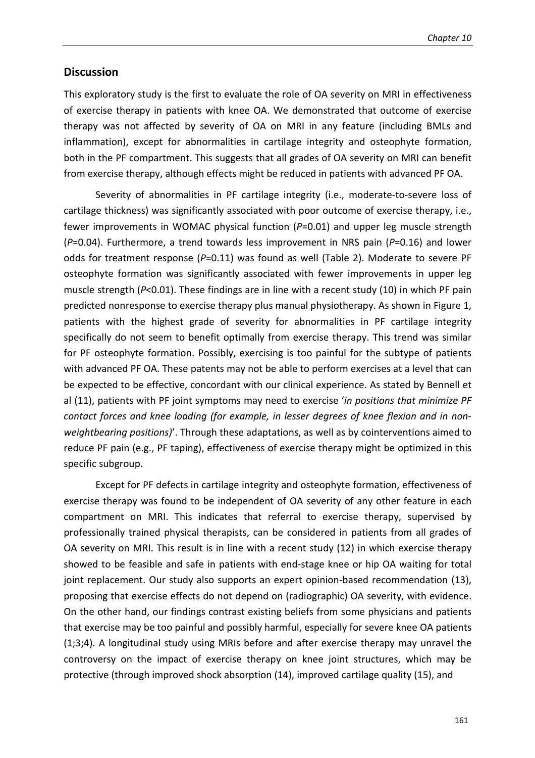## **Discussion**

This exploratory study is the first to evaluate the role of OA severity on MRI in effectiveness of exercise therapy in patients with knee OA. We demonstrated that outcome of exercise therapy was not affected by severity of OA on MRI in any feature (including BMLs and inflammation), except for abnormalities in cartilage integrity and osteophyte formation, both in the PF compartment. This suggests that all grades of OA severity on MRI can benefit from exercise therapy, although effects might be reduced in patients with advanced PF OA.

Severity of abnormalities in PF cartilage integrity (i.e., moderate-to-severe loss of cartilage thickness) was significantly associated with poor outcome of exercise therapy, i.e., fewer improvements in WOMAC physical function (*P*=0.01) and upper leg muscle strength (*P*=0.04). Furthermore, a trend towards less improvement in NRS pain (*P*=0.16) and lower odds for treatment response (*P*=0.11) was found as well (Table 2). Moderate to severe PF osteophyte formation was significantly associated with fewer improvements in upper leg muscle strength (*P*<0.01). These findings are in line with a recent study (10) in which PF pain predicted nonresponse to exercise therapy plus manual physiotherapy. As shown in Figure 1, patients with the highest grade of severity for abnormalities in PF cartilage integrity specifically do not seem to benefit optimally from exercise therapy. This trend was similar for PF osteophyte formation. Possibly, exercising is too painful for the subtype of patients with advanced PF OA. These patents may not be able to perform exercises at a level that can be expected to be effective, concordant with our clinical experience. As stated by Bennell et al (11), patients with PF joint symptoms may need to exercise '*in positions that minimize PF contact forces and knee loading (for example, in lesser degrees of knee flexion and in nonweightbearing positions)*'. Through these adaptations, as well as by cointerventions aimed to reduce PF pain (e.g., PF taping), effectiveness of exercise therapy might be optimized in this specific subgroup.

Except for PF defects in cartilage integrity and osteophyte formation, effectiveness of exercise therapy was found to be independent of OA severity of any other feature in each compartment on MRI. This indicates that referral to exercise therapy, supervised by professionally trained physical therapists, can be considered in patients from all grades of OA severity on MRI. This result is in line with a recent study (12) in which exercise therapy showed to be feasible and safe in patients with end-stage knee or hip OA waiting for total joint replacement. Our study also supports an expert opinion-based recommendation (13), proposing that exercise effects do not depend on (radiographic) OA severity, with evidence. On the other hand, our findings contrast existing beliefs from some physicians and patients that exercise may be too painful and possibly harmful, especially for severe knee OA patients (1;3;4). A longitudinal study using MRIs before and after exercise therapy may unravel the controversy on the impact of exercise therapy on knee joint structures, which may be protective (through improved shock absorption (14), improved cartilage quality (15), and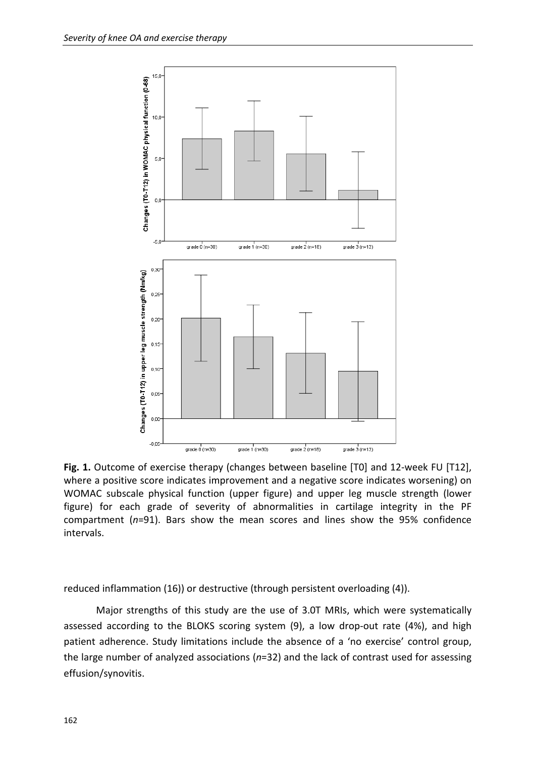

Fig. 1. Outcome of exercise therapy (changes between baseline [T0] and 12-week FU [T12], where a positive score indicates improvement and a negative score indicates worsening) on WOMAC subscale physical function (upper figure) and upper leg muscle strength (lower figure) for each grade of severity of abnormalities in cartilage integrity in the PF compartment (*n*=91). Bars show the mean scores and lines show the 95% confidence intervals.

reduced inflammation (16)) or destructive (through persistent overloading (4)).

 Major strengths of this study are the use of 3.0T MRIs, which were systematically assessed according to the BLOKS scoring system (9), a low drop-out rate (4%), and high patient adherence. Study limitations include the absence of a 'no exercise' control group, the large number of analyzed associations (*n*=32) and the lack of contrast used for assessing effusion/synovitis.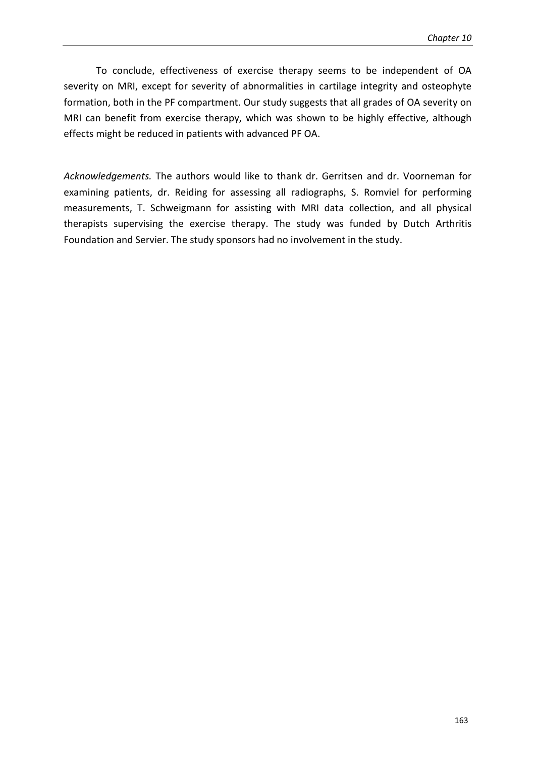To conclude, effectiveness of exercise therapy seems to be independent of OA severity on MRI, except for severity of abnormalities in cartilage integrity and osteophyte formation, both in the PF compartment. Our study suggests that all grades of OA severity on MRI can benefit from exercise therapy, which was shown to be highly effective, although effects might be reduced in patients with advanced PF OA.

*Acknowledgements.* The authors would like to thank dr. Gerritsen and dr. Voorneman for examining patients, dr. Reiding for assessing all radiographs, S. Romviel for performing measurements, T. Schweigmann for assisting with MRI data collection, and all physical therapists supervising the exercise therapy. The study was funded by Dutch Arthritis Foundation and Servier. The study sponsors had no involvement in the study.